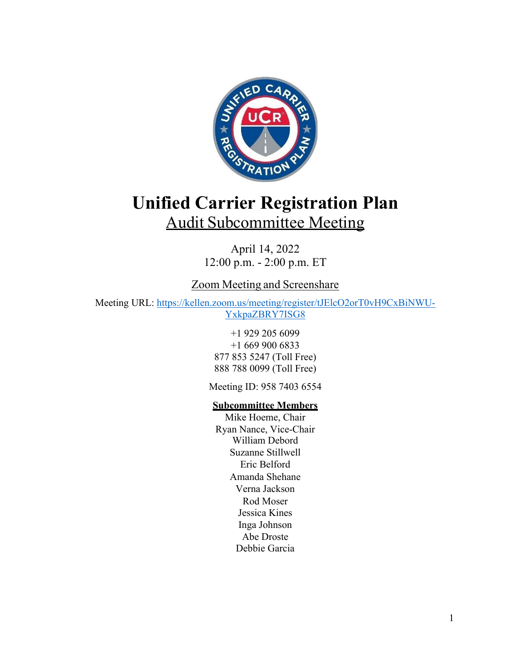

# **Unified Carrier Registration Plan** Audit Subcommittee Meeting

April 14, 2022 12:00 p.m. - 2:00 p.m. ET

# Zoom Meeting and Screenshare

Meeting URL: https://kellen.zoom.us/meeting/register/tJElcO2orT0vH9CxBiNWU-YxkpaZBRY7ISG8

> +1 929 205 6099 +1 669 900 6833 877 853 5247 (Toll Free) 888 788 0099 (Toll Free)

Meeting ID: 958 7403 6554

# **Subcommittee Members**

Mike Hoeme, Chair Ryan Nance, Vice-Chair William Debord Suzanne Stillwell Eric Belford Amanda Shehane Verna Jackson Rod Moser Jessica Kines Inga Johnson Abe Droste Debbie Garcia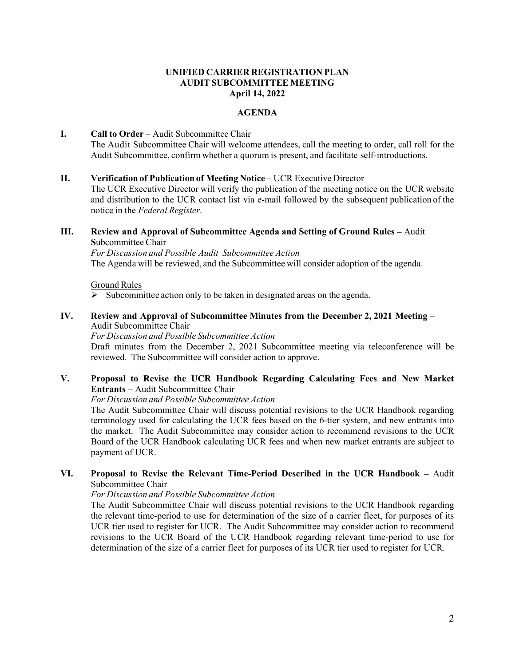# **UNIFIED CARRIER REGISTRATION PLAN AUDIT SUBCOMMITTEE MEETING April 14, 2022**

# **AGENDA**

# **I.** Call to Order – Audit Subcommittee Chair The Audit Subcommittee Chair will welcome attendees, call the meeting to order, call roll for the Audit Subcommittee, confirm whether a quorum is present, and facilitate self-introductions.

#### **II. Verification of Publication of Meeting Notice – UCR Executive Director**

 The UCR Executive Director will verify the publication of the meeting notice on the UCR website and distribution to the UCR contact list via e-mail followed by the subsequent publication of the notice in the *Federal Register*.

### **III.** Review and Approval of Subcommittee Agenda and Setting of Ground Rules – Audit **S**ubcommittee Chair

*For Discussion and Possible Audit Subcommittee Action*  The Agenda will be reviewed, and the Subcommittee will consider adoption of the agenda.

#### Ground Rules

 $\triangleright$  Subcommittee action only to be taken in designated areas on the agenda.

#### **IV. Review and Approval of Subcommittee Minutes from the December 2, 2021 Meeting** – Audit Subcommittee Chair

*For Discussion and Possible Subcommittee Action* 

Draft minutes from the December 2, 2021 Subcommittee meeting via teleconference will be reviewed. The Subcommittee will consider action to approve.

# **V. Proposal to Revise the UCR Handbook Regarding Calculating Fees and New Market Entrants –** Audit Subcommittee Chair

*For Discussion and Possible Subcommittee Action* 

The Audit Subcommittee Chair will discuss potential revisions to the UCR Handbook regarding terminology used for calculating the UCR fees based on the 6-tier system, and new entrants into the market. The Audit Subcommittee may consider action to recommend revisions to the UCR Board of the UCR Handbook calculating UCR fees and when new market entrants are subject to payment of UCR.

# **VI. Proposal to Revise the Relevant Time-Period Described in the UCR Handbook –** Audit Subcommittee Chair

*For Discussion and Possible Subcommittee Action*

The Audit Subcommittee Chair will discuss potential revisions to the UCR Handbook regarding the relevant time-period to use for determination of the size of a carrier fleet, for purposes of its UCR tier used to register for UCR. The Audit Subcommittee may consider action to recommend revisions to the UCR Board of the UCR Handbook regarding relevant time-period to use for determination of the size of a carrier fleet for purposes of its UCR tier used to register for UCR.